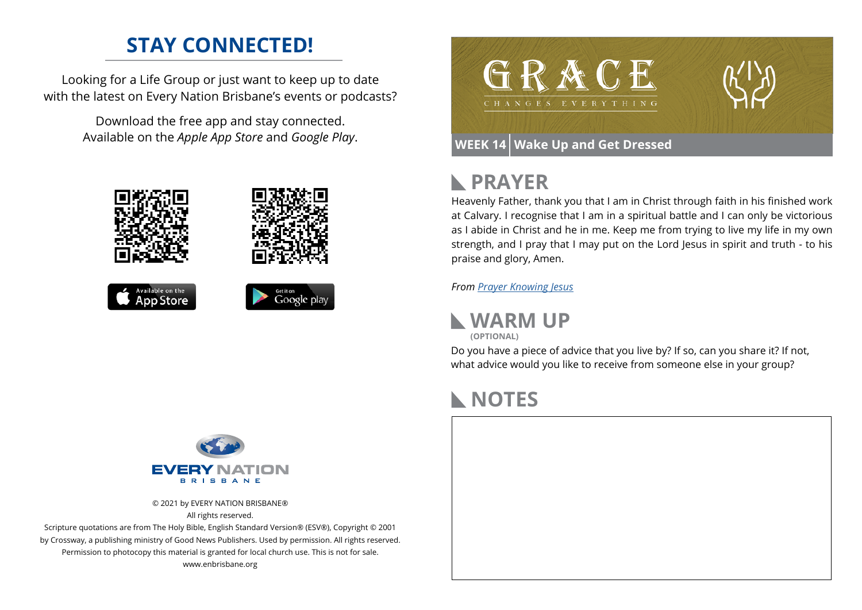## **STAY CONNECTED!**

Looking for a Life Group or just want to keep up to date with the latest on Every Nation Brisbane's events or podcasts?

> Download the free app and stay connected. Available on the *Apple App Store* and *Google Play*.





### **WEEK 14 Wake Up and Get Dressed**

# **PRAYER**

Heavenly Father, thank you that I am in Christ through faith in his finished work at Calvary. I recognise that I am in a spiritual battle and I can only be victorious as I abide in Christ and he in me. Keep me from trying to live my life in my own strength, and I pray that I may put on the Lord Jesus in spirit and truth - to his praise and glory, Amen.

*From [Prayer](https://prayer.knowing-jesus.com/Romans/13) Knowing Jesus*

**WARM UP (OPTIONAL)**

Do you have a piece of advice that you live by? If so, can you share it? If not, what advice would you like to receive from someone else in your group?

# **NOTES**





© 2021 by EVERY NATION BRISBANE® All rights reserved.

Scripture quotations are from The Holy Bible, English Standard Version® (ESV®), Copyright © 2001 by Crossway, a publishing ministry of Good News Publishers. Used by permission. All rights reserved. Permission to photocopy this material is granted for local church use. This is not for sale. www.enbrisbane.org